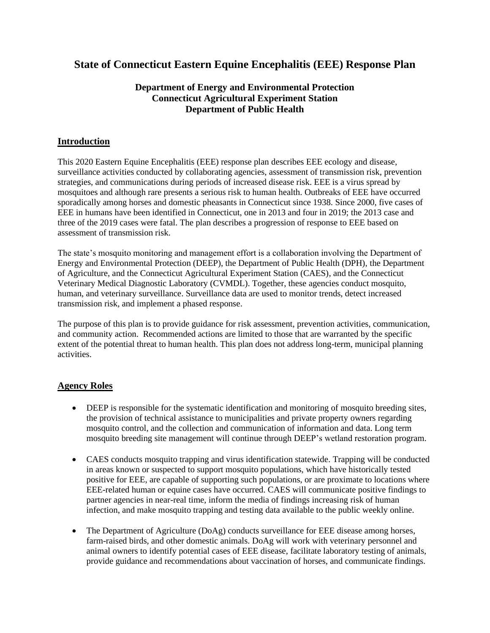# **State of Connecticut Eastern Equine Encephalitis (EEE) Response Plan**

# **Department of Energy and Environmental Protection Connecticut Agricultural Experiment Station Department of Public Health**

## **Introduction**

This 2020 Eastern Equine Encephalitis (EEE) response plan describes EEE ecology and disease, surveillance activities conducted by collaborating agencies, assessment of transmission risk, prevention strategies, and communications during periods of increased disease risk. EEE is a virus spread by mosquitoes and although rare presents a serious risk to human health. Outbreaks of EEE have occurred sporadically among horses and domestic pheasants in Connecticut since 1938. Since 2000, five cases of EEE in humans have been identified in Connecticut, one in 2013 and four in 2019; the 2013 case and three of the 2019 cases were fatal. The plan describes a progression of response to EEE based on assessment of transmission risk.

The state's mosquito monitoring and management effort is a collaboration involving the Department of Energy and Environmental Protection (DEEP), the Department of Public Health (DPH), the Department of Agriculture, and the Connecticut Agricultural Experiment Station (CAES), and the Connecticut Veterinary Medical Diagnostic Laboratory (CVMDL). Together, these agencies conduct mosquito, human, and veterinary surveillance. Surveillance data are used to monitor trends, detect increased transmission risk, and implement a phased response.

The purpose of this plan is to provide guidance for risk assessment, prevention activities, communication, and community action. Recommended actions are limited to those that are warranted by the specific extent of the potential threat to human health. This plan does not address long-term, municipal planning activities.

# **Agency Roles**

- DEEP is responsible for the systematic identification and monitoring of mosquito breeding sites, the provision of technical assistance to municipalities and private property owners regarding mosquito control, and the collection and communication of information and data. Long term mosquito breeding site management will continue through DEEP's wetland restoration program.
- CAES conducts mosquito trapping and virus identification statewide. Trapping will be conducted in areas known or suspected to support mosquito populations, which have historically tested positive for EEE, are capable of supporting such populations, or are proximate to locations where EEE-related human or equine cases have occurred. CAES will communicate positive findings to partner agencies in near-real time, inform the media of findings increasing risk of human infection, and make mosquito trapping and testing data available to the public weekly online.
- The Department of Agriculture (DoAg) conducts surveillance for EEE disease among horses, farm-raised birds, and other domestic animals. DoAg will work with veterinary personnel and animal owners to identify potential cases of EEE disease, facilitate laboratory testing of animals, provide guidance and recommendations about vaccination of horses, and communicate findings.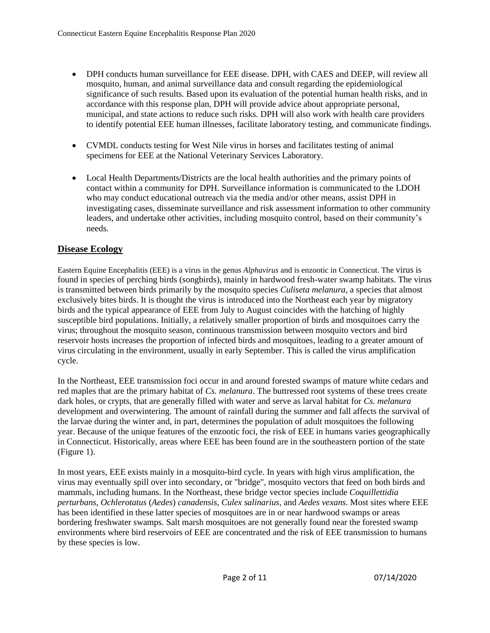- DPH conducts human surveillance for EEE disease. DPH, with CAES and DEEP, will review all mosquito, human, and animal surveillance data and consult regarding the epidemiological significance of such results. Based upon its evaluation of the potential human health risks, and in accordance with this response plan, DPH will provide advice about appropriate personal, municipal, and state actions to reduce such risks. DPH will also work with health care providers to identify potential EEE human illnesses, facilitate laboratory testing, and communicate findings.
- CVMDL conducts testing for West Nile virus in horses and facilitates testing of animal specimens for EEE at the National Veterinary Services Laboratory.
- Local Health Departments/Districts are the local health authorities and the primary points of contact within a community for DPH. Surveillance information is communicated to the LDOH who may conduct educational outreach via the media and/or other means, assist DPH in investigating cases, disseminate surveillance and risk assessment information to other community leaders, and undertake other activities, including mosquito control, based on their community's needs.

## **Disease Ecology**

Eastern Equine Encephalitis (EEE) is a virus in the genus *Alphavirus* and is enzootic in Connecticut. The virus is found in species of perching birds (songbirds), mainly in hardwood fresh-water swamp habitats. The virus is transmitted between birds primarily by the mosquito species *Culiseta melanura*, a species that almost exclusively bites birds. It is thought the virus is introduced into the Northeast each year by migratory birds and the typical appearance of EEE from July to August coincides with the hatching of highly susceptible bird populations. Initially, a relatively smaller proportion of birds and mosquitoes carry the virus; throughout the mosquito season, continuous transmission between mosquito vectors and bird reservoir hosts increases the proportion of infected birds and mosquitoes, leading to a greater amount of virus circulating in the environment, usually in early September. This is called the virus amplification cycle.

In the Northeast, EEE transmission foci occur in and around forested swamps of mature white cedars and red maples that are the primary habitat of *Cs. melanura*. The buttressed root systems of these trees create dark holes, or crypts, that are generally filled with water and serve as larval habitat for *Cs. melanura* development and overwintering. The amount of rainfall during the summer and fall affects the survival of the larvae during the winter and, in part, determines the population of adult mosquitoes the following year. Because of the unique features of the enzootic foci, the risk of EEE in humans varies geographically in Connecticut. Historically, areas where EEE has been found are in the southeastern portion of the state (Figure 1).

In most years, EEE exists mainly in a mosquito-bird cycle. In years with high virus amplification, the virus may eventually spill over into secondary, or "bridge", mosquito vectors that feed on both birds and mammals, including humans. In the Northeast, these bridge vector species include *Coquillettidia perturbans*, *Ochlerotatus* (*Aedes*) *canadensis*, *Culex salinarius,* and *Aedes vexans*. Most sites where EEE has been identified in these latter species of mosquitoes are in or near hardwood swamps or areas bordering freshwater swamps. Salt marsh mosquitoes are not generally found near the forested swamp environments where bird reservoirs of EEE are concentrated and the risk of EEE transmission to humans by these species is low.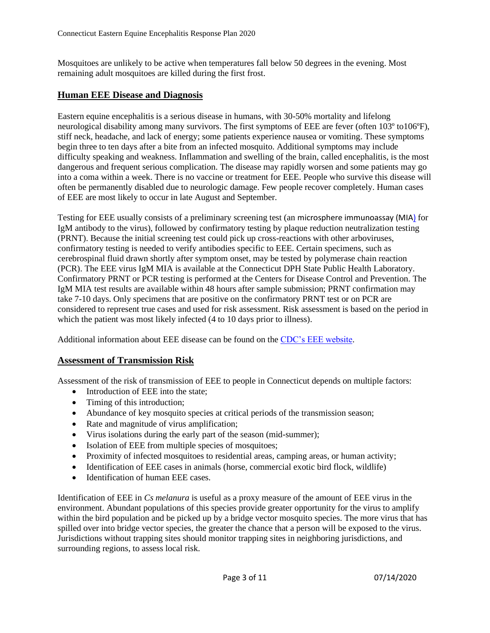Mosquitoes are unlikely to be active when temperatures fall below 50 degrees in the evening. Most remaining adult mosquitoes are killed during the first frost.

# **Human EEE Disease and Diagnosis**

Eastern equine encephalitis is a serious disease in humans, with 30-50% mortality and lifelong neurological disability among many survivors. The first symptoms of EEE are fever (often 103º to106ºF), stiff neck, headache, and lack of energy; some patients experience nausea or vomiting. These symptoms begin three to ten days after a bite from an infected mosquito. Additional symptoms may include difficulty speaking and weakness. Inflammation and swelling of the brain, called encephalitis, is the most dangerous and frequent serious complication. The disease may rapidly worsen and some patients may go into a coma within a week. There is no vaccine or treatment for EEE. People who survive this disease will often be permanently disabled due to neurologic damage. Few people recover completely. Human cases of EEE are most likely to occur in late August and September.

Testing for EEE usually consists of a preliminary screening test (an microsphere immunoassay (MIA) for IgM antibody to the virus), followed by confirmatory testing by plaque reduction neutralization testing (PRNT). Because the initial screening test could pick up cross-reactions with other arboviruses, confirmatory testing is needed to verify antibodies specific to EEE. Certain specimens, such as cerebrospinal fluid drawn shortly after symptom onset, may be tested by polymerase chain reaction (PCR). The EEE virus IgM MIA is available at the Connecticut DPH State Public Health Laboratory. Confirmatory PRNT or PCR testing is performed at the Centers for Disease Control and Prevention. The IgM MIA test results are available within 48 hours after sample submission; PRNT confirmation may take 7-10 days. Only specimens that are positive on the confirmatory PRNT test or on PCR are considered to represent true cases and used for risk assessment. Risk assessment is based on the period in which the patient was most likely infected  $(4 \text{ to } 10 \text{ days prior to illness}).$ 

Additional information about EEE disease can be found on the [CDC's EEE website.](https://www.cdc.gov/easternequineencephalitis/index.html)

## **Assessment of Transmission Risk**

Assessment of the risk of transmission of EEE to people in Connecticut depends on multiple factors:

- Introduction of EEE into the state;
- Timing of this introduction;
- Abundance of key mosquito species at critical periods of the transmission season;
- Rate and magnitude of virus amplification;
- Virus isolations during the early part of the season (mid-summer);
- Isolation of EEE from multiple species of mosquitoes;
- Proximity of infected mosquitoes to residential areas, camping areas, or human activity;
- Identification of EEE cases in animals (horse, commercial exotic bird flock, wildlife)
- Identification of human EEE cases.

Identification of EEE in *Cs melanura* is useful as a proxy measure of the amount of EEE virus in the environment. Abundant populations of this species provide greater opportunity for the virus to amplify within the bird population and be picked up by a bridge vector mosquito species. The more virus that has spilled over into bridge vector species, the greater the chance that a person will be exposed to the virus. Jurisdictions without trapping sites should monitor trapping sites in neighboring jurisdictions, and surrounding regions, to assess local risk.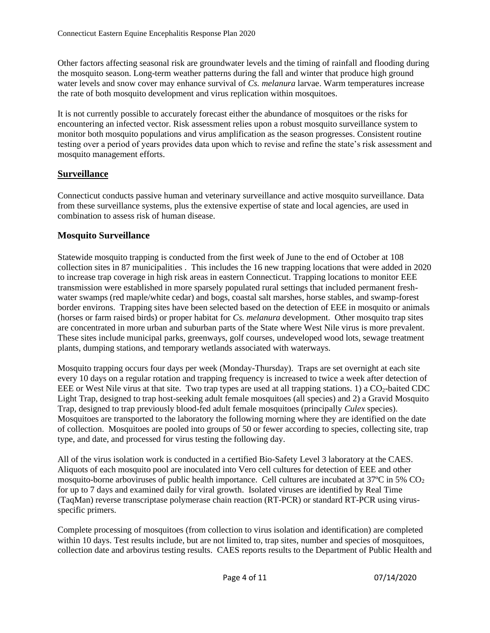Other factors affecting seasonal risk are groundwater levels and the timing of rainfall and flooding during the mosquito season. Long-term weather patterns during the fall and winter that produce high ground water levels and snow cover may enhance survival of *Cs. melanura* larvae. Warm temperatures increase the rate of both mosquito development and virus replication within mosquitoes.

It is not currently possible to accurately forecast either the abundance of mosquitoes or the risks for encountering an infected vector. Risk assessment relies upon a robust mosquito surveillance system to monitor both mosquito populations and virus amplification as the season progresses. Consistent routine testing over a period of years provides data upon which to revise and refine the state's risk assessment and mosquito management efforts.

# **Surveillance**

Connecticut conducts passive human and veterinary surveillance and active mosquito surveillance. Data from these surveillance systems, plus the extensive expertise of state and local agencies, are used in combination to assess risk of human disease.

# **Mosquito Surveillance**

Statewide mosquito trapping is conducted from the first week of June to the end of October at 108 collection sites in 87 municipalities . This includes the 16 new trapping locations that were added in 2020 to increase trap coverage in high risk areas in eastern Connecticut. Trapping locations to monitor EEE transmission were established in more sparsely populated rural settings that included permanent freshwater swamps (red maple/white cedar) and bogs, coastal salt marshes, horse stables, and swamp-forest border environs. Trapping sites have been selected based on the detection of EEE in mosquito or animals (horses or farm raised birds) or proper habitat for *Cs. melanura* development. Other mosquito trap sites are concentrated in more urban and suburban parts of the State where West Nile virus is more prevalent. These sites include municipal parks, greenways, golf courses, undeveloped wood lots, sewage treatment plants, dumping stations, and temporary wetlands associated with waterways.

Mosquito trapping occurs four days per week (Monday-Thursday). Traps are set overnight at each site every 10 days on a regular rotation and trapping frequency is increased to twice a week after detection of EEE or West Nile virus at that site. Two trap types are used at all trapping stations. 1) a CO<sub>2</sub>-baited CDC Light Trap, designed to trap host-seeking adult female mosquitoes (all species) and 2) a Gravid Mosquito Trap, designed to trap previously blood-fed adult female mosquitoes (principally *Culex* species). Mosquitoes are transported to the laboratory the following morning where they are identified on the date of collection. Mosquitoes are pooled into groups of 50 or fewer according to species, collecting site, trap type, and date, and processed for virus testing the following day.

All of the virus isolation work is conducted in a certified Bio-Safety Level 3 laboratory at the CAES. Aliquots of each mosquito pool are inoculated into Vero cell cultures for detection of EEE and other mosquito-borne arboviruses of public health importance. Cell cultures are incubated at  $37^{\circ}$ C in 5% CO<sub>2</sub> for up to 7 days and examined daily for viral growth. Isolated viruses are identified by Real Time (TaqMan) reverse transcriptase polymerase chain reaction (RT-PCR) or standard RT-PCR using virusspecific primers.

Complete processing of mosquitoes (from collection to virus isolation and identification) are completed within 10 days. Test results include, but are not limited to, trap sites, number and species of mosquitoes, collection date and arbovirus testing results. CAES reports results to the Department of Public Health and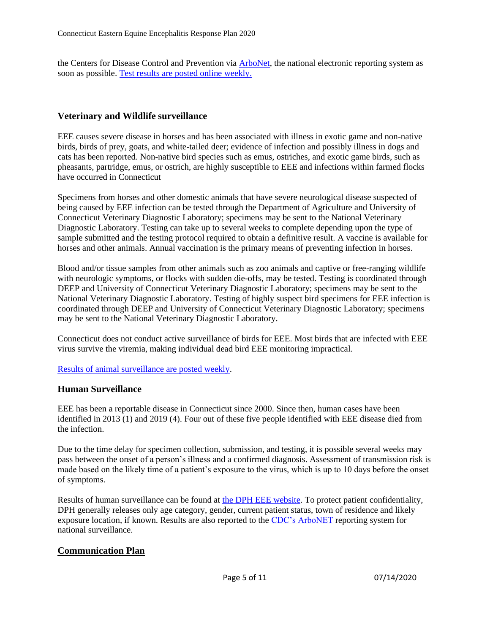the Centers for Disease Control and Prevention via [ArboNet,](https://wwwn.cdc.gov/arbonet/maps/ADB_Diseases_Map/index.html) the national electronic reporting system as soon as possible. [Test results are posted online](https://portal.ct.gov/mosquito) weekly.

## **Veterinary and Wildlife surveillance**

EEE causes severe disease in horses and has been associated with illness in exotic game and non-native birds, birds of prey, goats, and white-tailed deer; evidence of infection and possibly illness in dogs and cats has been reported. Non-native bird species such as emus, ostriches, and exotic game birds, such as pheasants, partridge, emus, or ostrich, are highly susceptible to EEE and infections within farmed flocks have occurred in Connecticut

Specimens from horses and other domestic animals that have severe neurological disease suspected of being caused by EEE infection can be tested through the Department of Agriculture and University of Connecticut Veterinary Diagnostic Laboratory; specimens may be sent to the National Veterinary Diagnostic Laboratory. Testing can take up to several weeks to complete depending upon the type of sample submitted and the testing protocol required to obtain a definitive result. A vaccine is available for horses and other animals. Annual vaccination is the primary means of preventing infection in horses.

Blood and/or tissue samples from other animals such as zoo animals and captive or free-ranging wildlife with neurologic symptoms, or flocks with sudden die-offs, may be tested. Testing is coordinated through DEEP and University of Connecticut Veterinary Diagnostic Laboratory; specimens may be sent to the National Veterinary Diagnostic Laboratory. Testing of highly suspect bird specimens for EEE infection is coordinated through DEEP and University of Connecticut Veterinary Diagnostic Laboratory; specimens may be sent to the National Veterinary Diagnostic Laboratory.

Connecticut does not conduct active surveillance of birds for EEE. Most birds that are infected with EEE virus survive the viremia, making individual dead bird EEE monitoring impractical.

[Results of animal surveillance are posted weekly.](https://portal.ct.gov/mosquito)

#### **Human Surveillance**

EEE has been a reportable disease in Connecticut since 2000. Since then, human cases have been identified in 2013 (1) and 2019 (4). Four out of these five people identified with EEE disease died from the infection.

Due to the time delay for specimen collection, submission, and testing, it is possible several weeks may pass between the onset of a person's illness and a confirmed diagnosis. Assessment of transmission risk is made based on the likely time of a patient's exposure to the virus, which is up to 10 days before the onset of symptoms.

Results of human surveillance can be found at [the DPH EEE website.](https://portal.ct.gov/DPH/Epidemiology-and-Emerging-Infections/Eastern-Equine-Encephalitis) To protect patient confidentiality, DPH generally releases only age category, gender, current patient status, town of residence and likely exposure location, if known. Results are also reported to the [CDC's ArboNET](https://wwwn.cdc.gov/arbonet/maps/ADB_Diseases_Map/index.html) reporting system for national surveillance.

#### **Communication Plan**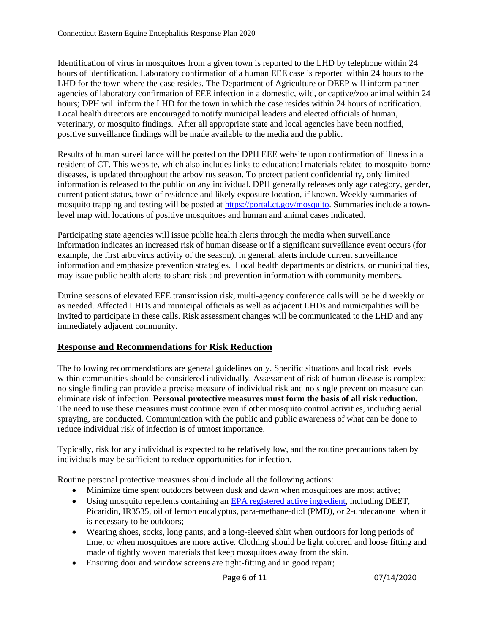Identification of virus in mosquitoes from a given town is reported to the LHD by telephone within 24 hours of identification. Laboratory confirmation of a human EEE case is reported within 24 hours to the LHD for the town where the case resides. The Department of Agriculture or DEEP will inform partner agencies of laboratory confirmation of EEE infection in a domestic, wild, or captive/zoo animal within 24 hours; DPH will inform the LHD for the town in which the case resides within 24 hours of notification. Local health directors are encouraged to notify municipal leaders and elected officials of human, veterinary, or mosquito findings. After all appropriate state and local agencies have been notified, positive surveillance findings will be made available to the media and the public.

Results of human surveillance will be posted on the DPH EEE website upon confirmation of illness in a resident of CT. This website, which also includes links to educational materials related to mosquito-borne diseases, is updated throughout the arbovirus season. To protect patient confidentiality, only limited information is released to the public on any individual. DPH generally releases only age category, gender, current patient status, town of residence and likely exposure location, if known. Weekly summaries of mosquito trapping and testing will be posted at [https://portal.ct.gov/mosquito.](https://portal.ct.gov/mosquito) Summaries include a townlevel map with locations of positive mosquitoes and human and animal cases indicated.

Participating state agencies will issue public health alerts through the media when surveillance information indicates an increased risk of human disease or if a significant surveillance event occurs (for example, the first arbovirus activity of the season). In general, alerts include current surveillance information and emphasize prevention strategies. Local health departments or districts, or municipalities, may issue public health alerts to share risk and prevention information with community members.

During seasons of elevated EEE transmission risk, multi-agency conference calls will be held weekly or as needed. Affected LHDs and municipal officials as well as adjacent LHDs and municipalities will be invited to participate in these calls. Risk assessment changes will be communicated to the LHD and any immediately adjacent community.

# **Response and Recommendations for Risk Reduction**

The following recommendations are general guidelines only. Specific situations and local risk levels within communities should be considered individually. Assessment of risk of human disease is complex; no single finding can provide a precise measure of individual risk and no single prevention measure can eliminate risk of infection. **Personal protective measures must form the basis of all risk reduction.** The need to use these measures must continue even if other mosquito control activities, including aerial spraying, are conducted. Communication with the public and public awareness of what can be done to reduce individual risk of infection is of utmost importance.

Typically, risk for any individual is expected to be relatively low, and the routine precautions taken by individuals may be sufficient to reduce opportunities for infection.

Routine personal protective measures should include all the following actions:

- Minimize time spent outdoors between dusk and dawn when mosquitoes are most active;
- Using mosquito repellents containing an [EPA registered active ingredient,](https://www.epa.gov/mosquitocontrol) including DEET, Picaridin, IR3535, oil of lemon eucalyptus, para-methane-diol (PMD), or 2-undecanone when it is necessary to be outdoors;
- Wearing shoes, socks, long pants, and a long-sleeved shirt when outdoors for long periods of time, or when mosquitoes are more active. Clothing should be light colored and loose fitting and made of tightly woven materials that keep mosquitoes away from the skin.
- Ensuring door and window screens are tight-fitting and in good repair;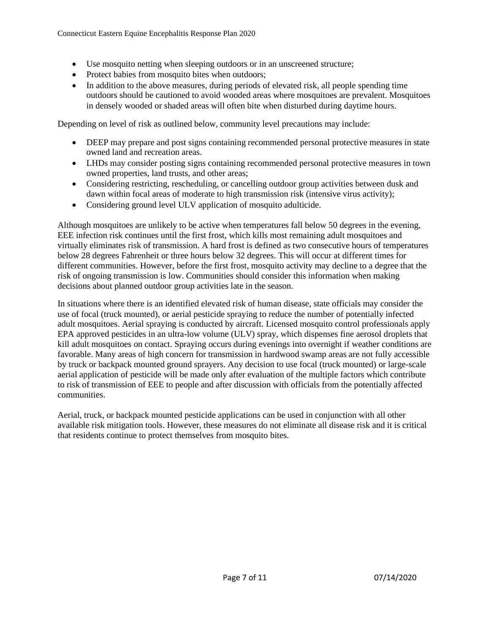- Use mosquito netting when sleeping outdoors or in an unscreened structure;
- Protect babies from mosquito bites when outdoors;
- In addition to the above measures, during periods of elevated risk, all people spending time outdoors should be cautioned to avoid wooded areas where mosquitoes are prevalent. Mosquitoes in densely wooded or shaded areas will often bite when disturbed during daytime hours.

Depending on level of risk as outlined below, community level precautions may include:

- DEEP may prepare and post signs containing recommended personal protective measures in state owned land and recreation areas.
- LHDs may consider posting signs containing recommended personal protective measures in town owned properties, land trusts, and other areas;
- Considering restricting, rescheduling, or cancelling outdoor group activities between dusk and dawn within focal areas of moderate to high transmission risk (intensive virus activity);
- Considering ground level ULV application of mosquito adulticide.

Although mosquitoes are unlikely to be active when temperatures fall below 50 degrees in the evening, EEE infection risk continues until the first frost, which kills most remaining adult mosquitoes and virtually eliminates risk of transmission. A hard frost is defined as two consecutive hours of temperatures below 28 degrees Fahrenheit or three hours below 32 degrees. This will occur at different times for different communities. However, before the first frost, mosquito activity may decline to a degree that the risk of ongoing transmission is low. Communities should consider this information when making decisions about planned outdoor group activities late in the season.

In situations where there is an identified elevated risk of human disease, state officials may consider the use of focal (truck mounted), or aerial pesticide spraying to reduce the number of potentially infected adult mosquitoes. Aerial spraying is conducted by aircraft. Licensed mosquito control professionals apply EPA approved pesticides in an ultra-low volume (ULV) spray, which dispenses fine aerosol droplets that kill adult mosquitoes on contact. Spraying occurs during evenings into overnight if weather conditions are favorable. Many areas of high concern for transmission in hardwood swamp areas are not fully accessible by truck or backpack mounted ground sprayers. Any decision to use focal (truck mounted) or large-scale aerial application of pesticide will be made only after evaluation of the multiple factors which contribute to risk of transmission of EEE to people and after discussion with officials from the potentially affected communities.

Aerial, truck, or backpack mounted pesticide applications can be used in conjunction with all other available risk mitigation tools. However, these measures do not eliminate all disease risk and it is critical that residents continue to protect themselves from mosquito bites.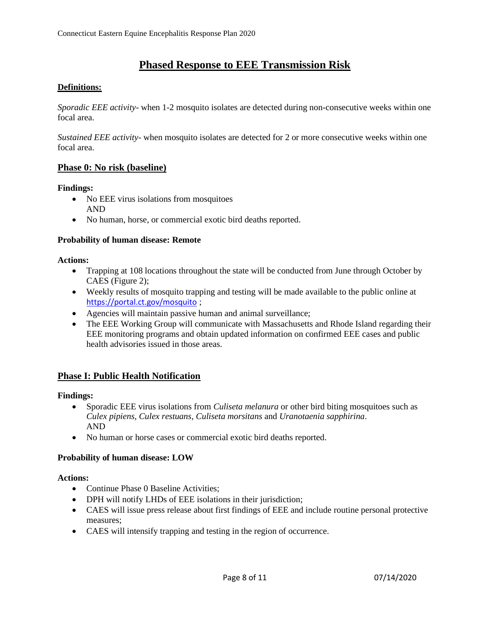# **Phased Response to EEE Transmission Risk**

## **Definitions:**

*Sporadic EEE activity*- when 1-2 mosquito isolates are detected during non-consecutive weeks within one focal area.

*Sustained EEE activity*- when mosquito isolates are detected for 2 or more consecutive weeks within one focal area.

## **Phase 0: No risk (baseline)**

#### **Findings:**

- No EEE virus isolations from mosquitoes AND
- No human, horse, or commercial exotic bird deaths reported.

#### **Probability of human disease: Remote**

#### **Actions:**

- Trapping at 108 locations throughout the state will be conducted from June through October by CAES (Figure 2);
- Weekly results of mosquito trapping and testing will be made available to the public online at <https://portal.ct.gov/mosquito> ;
- Agencies will maintain passive human and animal surveillance;
- The EEE Working Group will communicate with Massachusetts and Rhode Island regarding their EEE monitoring programs and obtain updated information on confirmed EEE cases and public health advisories issued in those areas.

## **Phase I: Public Health Notification**

#### **Findings:**

- Sporadic EEE virus isolations from *Culiseta melanura* or other bird biting mosquitoes such as *Culex pipiens, Culex restuans, Culiseta morsitans* and *Uranotaenia sapphirina*. AND
- No human or horse cases or commercial exotic bird deaths reported.

#### **Probability of human disease: LOW**

#### **Actions:**

- Continue Phase 0 Baseline Activities;
- DPH will notify LHDs of EEE isolations in their jurisdiction;
- CAES will issue press release about first findings of EEE and include routine personal protective measures;
- CAES will intensify trapping and testing in the region of occurrence.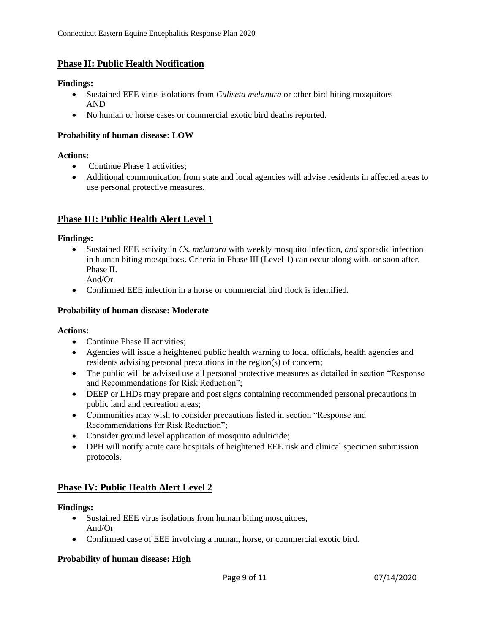# **Phase II: Public Health Notification**

## **Findings:**

- Sustained EEE virus isolations from *Culiseta melanura* or other bird biting mosquitoes AND
- No human or horse cases or commercial exotic bird deaths reported.

#### **Probability of human disease: LOW**

#### **Actions:**

- Continue Phase 1 activities:
- Additional communication from state and local agencies will advise residents in affected areas to use personal protective measures.

# **Phase III: Public Health Alert Level 1**

## **Findings:**

- Sustained EEE activity in *Cs. melanura* with weekly mosquito infection, *and* sporadic infection in human biting mosquitoes. Criteria in Phase III (Level 1) can occur along with, or soon after, Phase II. And/Or
- Confirmed EEE infection in a horse or commercial bird flock is identified.

## **Probability of human disease: Moderate**

#### **Actions:**

- Continue Phase II activities;
- Agencies will issue a heightened public health warning to local officials, health agencies and residents advising personal precautions in the region(s) of concern;
- The public will be advised use all personal protective measures as detailed in section "Response" and Recommendations for Risk Reduction";
- DEEP or LHDs may prepare and post signs containing recommended personal precautions in public land and recreation areas;
- Communities may wish to consider precautions listed in section "Response and Recommendations for Risk Reduction";
- Consider ground level application of mosquito adulticide;
- DPH will notify acute care hospitals of heightened EEE risk and clinical specimen submission protocols.

# **Phase IV: Public Health Alert Level 2**

## **Findings:**

- Sustained EEE virus isolations from human biting mosquitoes, And/Or
- Confirmed case of EEE involving a human, horse, or commercial exotic bird.

#### **Probability of human disease: High**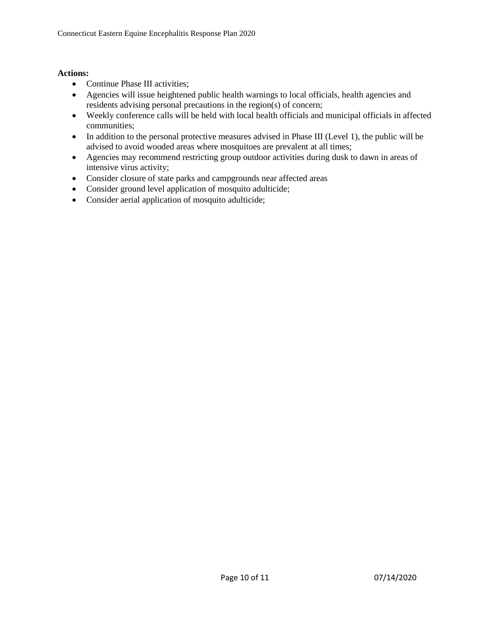## **Actions:**

- Continue Phase III activities;
- Agencies will issue heightened public health warnings to local officials, health agencies and residents advising personal precautions in the region(s) of concern;
- Weekly conference calls will be held with local health officials and municipal officials in affected communities;
- In addition to the personal protective measures advised in Phase III (Level 1), the public will be advised to avoid wooded areas where mosquitoes are prevalent at all times;
- Agencies may recommend restricting group outdoor activities during dusk to dawn in areas of intensive virus activity;
- Consider closure of state parks and campgrounds near affected areas
- Consider ground level application of mosquito adulticide;
- Consider aerial application of mosquito adulticide;